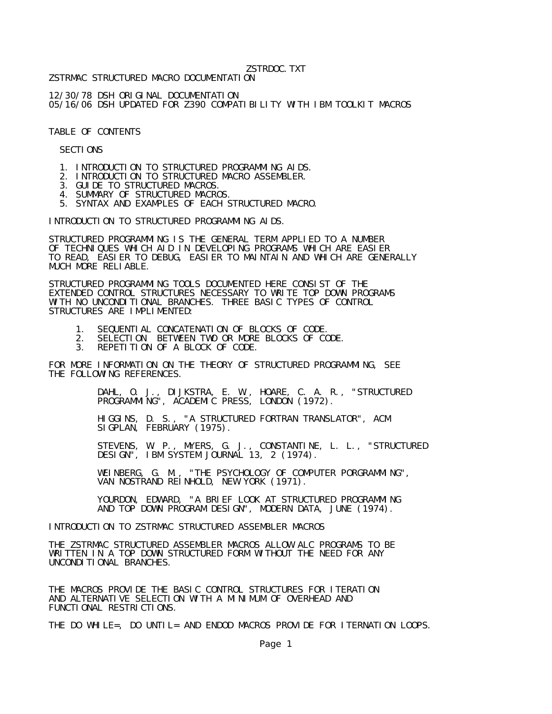## ZSTRDOC.TXT

ZSTRMAC STRUCTURED MACRO DOCUMENTATION

12/30/78 DSH ORIGINAL DOCUMENTATION 05/16/06 DSH UPDATED FOR Z390 COMPATIBILITY WITH IBM TOOLKIT MACROS

TABLE OF CONTENTS

SECTIONS

- 1. INTRODUCTION TO STRUCTURED PROGRAMMING AIDS.
- 2. INTRODUCTION TO STRUCTURED MACRO ASSEMBLER.
- 3. GUIDE TO STRUCTURED MACROS.
- 4. SUMMARY OF STRUCTURED MACROS.
	- 5. SYNTAX AND EXAMPLES OF EACH STRUCTURED MACRO.

INTRODUCTION TO STRUCTURED PROGRAMMING AIDS.

STRUCTURED PROGRAMMING IS THE GENERAL TERM APPLIED TO A NUMBER OF TECHNIQUES WHICH AID IN DEVELOPING PROGRAMS WHICH ARE EASIER TO READ, EASIER TO DEBUG, EASIER TO MAINTAIN AND WHICH ARE GENERALLY MUCH MORE RELIABLE.

STRUCTURED PROGRAMMING TOOLS DOCUMENTED HERE CONSIST OF THE EXTENDED CONTROL STRUCTURES NECESSARY TO WRITE TOP DOWN PROGRAMS WITH NO UNCONDITIONAL BRANCHES. THREE BASIC TYPES OF CONTROL STRUCTURES ARE IMPLIMENTED:

- 1. SEQUENTIAL CONCATENATION OF BLOCKS OF CODE.
- 2. SELECTION BETWEEN TWO OR MORE BLOCKS OF CODE.
- 3. REPETITION OF A BLOCK OF CODE.

FOR MORE INFORMATION ON THE THEORY OF STRUCTURED PROGRAMMING, SEE THE FOLLOWING REFERENCES.

 DAHL, O. J., DIJKSTRA, E. W., HOARE, C. A. R., "STRUCTURED PROGRAMMING", ACADEMIC PRESS, LONDON (1972).

 HIGGINS, D. S., "A STRUCTURED FORTRAN TRANSLATOR", ACM SIGPLAN, FEBRUARY (1975).

> STEVENS, W. P., MYERS, G. J., CONSTANTINE, L. L., "STRUCTURED DESIGN", IBM SYSTEM JOURNAL 13, 2 (1974).

 WEINBERG, G. M., "THE PSYCHOLOGY OF COMPUTER PORGRAMMING", VAN NOSTRAND REINHOLD, NEW YORK (1971).

 YOURDON, EDWARD, "A BRIEF LOOK AT STRUCTURED PROGRAMMING AND TOP DOWN PROGRAM DESIGN", MODERN DATA, JUNE (1974).

INTRODUCTION TO ZSTRMAC STRUCTURED ASSEMBLER MACROS

THE ZSTRMAC STRUCTURED ASSEMBLER MACROS ALLOW ALC PROGRAMS TO BE WRITTEN IN A TOP DOWN STRUCTURED FORM WITHOUT THE NEED FOR ANY UNCONDITIONAL BRANCHES.

THE MACROS PROVIDE THE BASIC CONTROL STRUCTURES FOR ITERATION AND ALTERNATIVE SELECTION WITH A MINIMUM OF OVERHEAD AND FUNCTIONAL RESTRICTIONS.

THE DO WHILE=, DO UNTIL= AND ENDOD MACROS PROVIDE FOR ITERNATION LOOPS.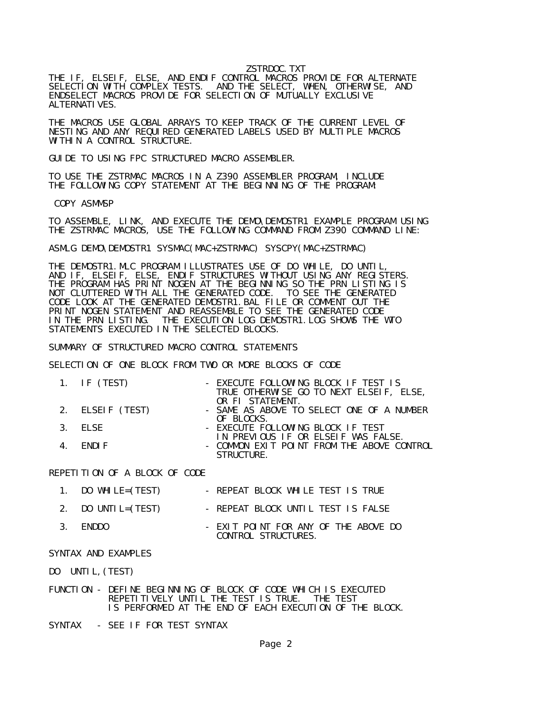## ZSTRDOC.TXT

THE IF, ELSEIF, ELSE, AND ENDIF CONTROL MACROS PROVIDE FOR ALTERNATE SELECTION WITH COMPLEX TESTS. AND THE SELECT, WHEN, OTHERWISE, AND ENDSELECT MACROS PROVIDE FOR SELECTION OF MUTUALLY EXCLUSIVE ALTERNATI VES.

THE MACROS USE GLOBAL ARRAYS TO KEEP TRACK OF THE CURRENT LEVEL OF NESTING AND ANY REQUIRED GENERATED LABELS USED BY MULTIPLE MACROS WITHIN A CONTROL STRUCTURE.

GUIDE TO USING FPC STRUCTURED MACRO ASSEMBLER.

TO USE THE ZSTRMAC MACROS IN A Z390 ASSEMBLER PROGRAM, INCLUDE THE FOLLOWING COPY STATEMENT AT THE BEGINNING OF THE PROGRAM:

COPY ASMMSP

TO ASSEMBLE, LINK, AND EXECUTE THE DEMO\DEMOSTR1 EXAMPLE PROGRAM USING THE ZSTRMAC MACROS, USE THE FOLLOWING COMMAND FROM Z390 COMMAND LINE:

ASMLG DEMO\DEMOSTR1 SYSMAC(MAC+ZSTRMAC) SYSCPY(MAC+ZSTRMAC)

THE DEMOSTR1.MLC PROGRAM ILLUSTRATES USE OF DO WHILE, DO UNTIL, AND IF, ELSEIF, ELSE, ENDIF STRUCTURES WITHOUT USING ANY REGISTERS. THE PROGRAM HAS PRINT NOGEN AT THE BEGINNING SO THE PRN LISTING IS NOT CLUTTERED WITH ALL THE GENERATED CODE. TO SEE THE GENERATED CODE LOOK AT THE GENERATED DEMOSTR1.BAL FILE OR COMMENT OUT THE PRINT NOGEN STATEMENT AND REASSEMBLE TO SEE THE GENERATED CODE IN THE PRN LISTING. THE EXECUTION LOG DEMOSTR1. LOG SHOWS THE THE EXECUTION LOG DEMOSTR1. LOG SHOWS THE WTO STATEMENTS EXECUTED IN THE SELECTED BLOCKS.

SUMMARY OF STRUCTURED MACRO CONTROL STATEMENTS

SELECTION OF ONE BLOCK FROM TWO OR MORE BLOCKS OF CODE

| 1. IF $(TEST)$   | - EXECUTE FOLLOWING BLOCK IF TEST IS                        |
|------------------|-------------------------------------------------------------|
|                  | TRUE OTHERWISE GO TO NEXT ELSEIF, ELSE,<br>OR FI STATFMENT. |
|                  |                                                             |
| 2. ELSEIF (TEST) | - SAME AS ABOVE TO SELECT ONE OF A NUMBER                   |
|                  | OF BLOCKS.                                                  |
| $3.$ FISE        | - EXECUTE FOLLOWING BLOCK IF TEST                           |
|                  | IN PREVIOUS IF OR ELSEIF WAS FALSE.                         |
| 4. FNDIF         | - COMMON EXIT POINT FROM THE ABOVE CONTROL                  |
|                  | <b>STRUCTURE</b>                                            |

REPETITION OF A BLOCK OF CODE

| 1. DO WHILE= $(TEST)$ | - REPEAT BLOCK WHILE TEST IS TRUE                           |
|-----------------------|-------------------------------------------------------------|
| 2. DO UNTIL=(TEST)    | - REPEAT BLOCK UNTIL TEST IS FALSE                          |
| 3. FNDDO              | - EXIT POINT FOR ANY OF THE ABOVE DO<br>CONTROL STRUCTURES. |

## SYNTAX AND EXAMPLES

DO UNTIL,(TEST)

FUNCTION - DEFINE BEGINNING OF BLOCK OF CODE WHICH IS EXECUTED REPETITIVELY UNTIL THE TEST IS TRUE. THE TEST IS PERFORMED AT THE END OF EACH EXECUTION OF THE BLOCK.

SYNTAX - SEE IF FOR TEST SYNTAX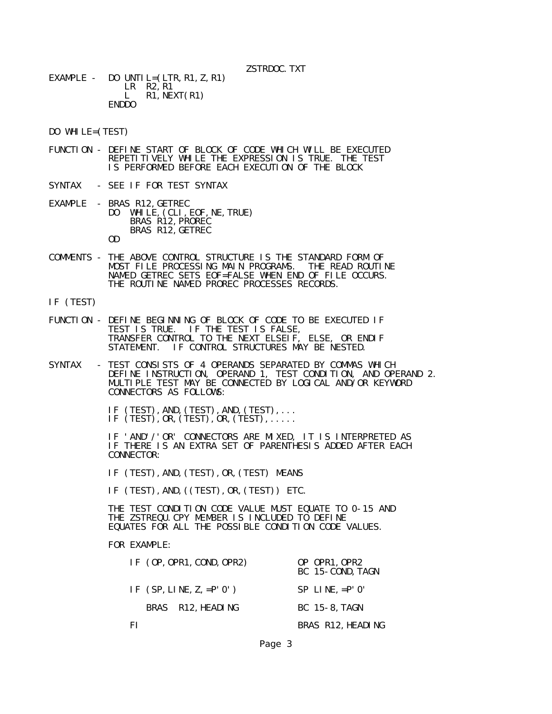EXAMPLE - DO UNTIL= $(LTR, R1, Z, R1)$ LR R2, R1<br>L R1, NE  $R1,NEXT(R1)$ ENDDO

DO WHILE=(TEST)

- FUNCTION DEFINE START OF BLOCK OF CODE WHICH WILL BE EXECUTED REPETITIVELY WHILE THE EXPRESSION IS TRUE. THE TEST IS PERFORMED BEFORE EACH EXECUTION OF THE BLOCK
- SYNTAX SEE IF FOR TEST SYNTAX
- EXAMPLE BRAS R12, GETREC<br>DO WHILE. (CLI. WHILE, (CLI, EOF, NE, TRUE) BRAS R12,PROREC BRAS R12,GETREC OD
- COMMENTS THE ABOVE CONTROL STRUCTURE IS THE STANDARD FORM OF MOST FILE PROCESSING MAIN PROGRAMS. THE READ ROUTINE NAMED GETREC SETS EOF=FALSE WHEN END OF FILE OCCURS. THE ROUTINE NAMED PROREC PROCESSES RECORDS.
- IF (TEST)
- FUNCTION DEFINE BEGINNING OF BLOCK OF CODE TO BE EXECUTED IF TEST IS TRUE. IF THE TEST IS FALSE, TRANSFER CONTROL TO THE NEXT ELSEIF, ELSE, OR ENDIF STATEMENT. IF CONTROL STRUCTURES MAY BE NESTED.
- SYNTAX TEST CONSISTS OF 4 OPERANDS SEPARATED BY COMMAS WHICH DEFINE INSTRUCTION, OPERAND 1, TEST CONDITION, AND OPERAND 2. MULTIPLE TEST MAY BE CONNECTED BY LOGICAL AND/OR KEYWORD CONNECTORS AS FOLLOWS:

 IF (TEST),AND,(TEST),AND,(TEST),... IF (TEST),OR,(TEST),OR,(TEST),.....

 IF 'AND'/'OR' CONNECTORS ARE MIXED, IT IS INTERPRETED AS IF THERE IS AN EXTRA SET OF PARENTHESIS ADDED AFTER EACH CONNECTOR:

IF (TEST), AND, (TEST), OR, (TEST) MEANS

IF (TEST), AND, ((TEST), OR, (TEST)) ETC.

 THE TEST CONDITION CODE VALUE MUST EQUATE TO 0-15 AND THE ZSTREQU.CPY MEMBER IS INCLUDED TO DEFINE EQUATES FOR ALL THE POSSIBLE CONDITION CODE VALUES.

FOR EXAMPLE:

| IF (OP, OPR1, COND, OPR2)  | OP OPR1, OPR2<br>BC 15-COND. TAGN |
|----------------------------|-----------------------------------|
| IF $(SP, LINE, Z, =P' O')$ | $SP$ LINE, $= P'$ 0'              |
| BRAS R12, HEADING          | BC 15-8, TAGN                     |
| ΗI                         | BRAS R12, HEADING                 |

Page 3